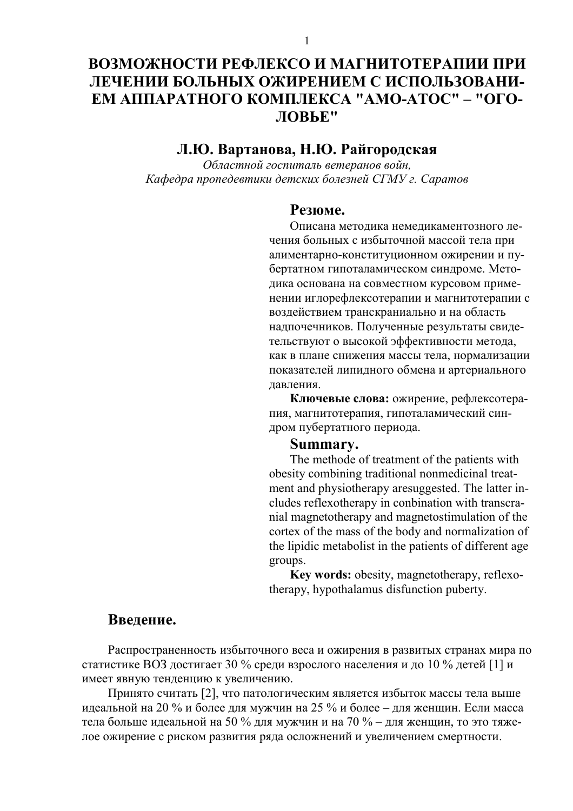# ВОЗМОЖНОСТИ РЕФЛЕКСО И МАГНИТОТЕРАПИИ ПРИ ЛЕЧЕНИИ БОЛЬНЫХ ОЖИРЕНИЕМ С ИСПОЛЬЗОВАНИ-ЕМ АППАРАТНОГО КОМПЛЕКСА "АМО-АТОС" – "ОГО-ЛОВЬЕ"

### Л.Ю. Вартанова, Н.Ю. Райгородская

Областной госпиталь ветеранов войн, Кафедра пропедевтики детских болезней СГМУ г. Саратов

#### Резюме.

Описана методика немедикаментозного лечения больных с избыточной массой тела при алиментарно-конституционном ожирении и пубертатном гипоталамическом синдроме. Методика основана на совместном курсовом применении иглорефлексотерапии и магнитотерапии с воздействием транскраниально и на область надпочечников. Полученные результаты свидетельствуют о высокой эффективности метода, как в плане снижения массы тела, нормализации показателей липидного обмена и артериального лавления.

Ключевые слова: ожирение, рефлексотерапия, магнитотерапия, гипоталамический синдром пубертатного периода.

#### Summary.

The methode of treatment of the patients with obesity combining traditional nonmedicinal treatment and physiotherapy are suggested. The latter includes reflexotherapy in conbination with transcranial magnetotherapy and magnetostimulation of the cortex of the mass of the body and normalization of the lipidic metabolist in the patients of different age groups.

Key words: obesity, magnetotherapy, reflexotherapy, hypothalamus disfunction puberty.

#### Ввеление.

Распространенность избыточного веса и ожирения в развитых странах мира по статистике ВОЗ достигает 30 % среди взрослого населения и до 10 % детей [1] и имеет явную тенденцию к увеличению.

Принято считать [2], что патологическим является избыток массы тела выше идеальной на 20 % и более для мужчин на 25 % и более – для женщин. Если масса тела больше идеальной на 50 % для мужчин и на 70 % – для женщин, то это тяжелое ожирение с риском развития ряда осложнений и увеличением смертности.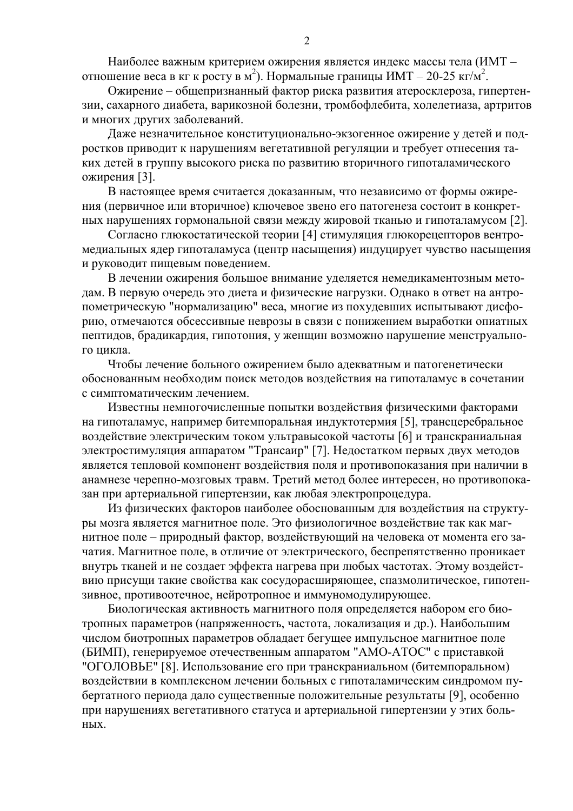Наиболее важным критерием ожирения является индекс массы тела (ИМТ отношение веса в кг к росту в м<sup>2</sup>). Нормальные границы ИМТ – 20-25 кг/м<sup>2</sup>.

Ожирение – общепризнанный фактор риска развития атеросклероза, гипертензии, сахарного диабета, варикозной болезни, тромбофлебита, холелетиаза, артритов и многих других заболеваний.

Даже незначительное конституционально-экзогенное ожирение у детей и подростков приводит к нарушениям вегетативной регуляции и требует отнесения таких детей в группу высокого риска по развитию вторичного гипоталамического ожирения [3].

В настоящее время считается доказанным, что независимо от формы ожирения (первичное или вторичное) ключевое звено его патогенеза состоит в конкретных нарушениях гормональной связи между жировой тканью и гипоталамусом [2].

Согласно глюкостатической теории [4] стимуляция глюкорецепторов вентромедиальных ядер гипоталамуса (центр насыщения) индуцирует чувство насыщения и руководит пищевым поведением.

В лечении ожирения большое внимание уделяется немедикаментозным методам. В первую очередь это диета и физические нагрузки. Однако в ответ на антропометрическую "нормализацию" веса, многие из похудевших испытывают дисфорию, отмечаются обсессивные неврозы в связи с понижением выработки опиатных пептидов, брадикардия, гипотония, у женщин возможно нарушение менструального цикла.

Чтобы лечение больного ожирением было адекватным и патогенетически обоснованным необходим поиск методов воздействия на гипоталамус в сочетании с симптоматическим лечением.

Известны немногочисленные попытки воздействия физическими факторами на гипоталамус, например битемпоральная индуктотермия [5], трансцеребральное воздействие электрическим током ультравысокой частоты [6] и транскраниальная электростимуляция аппаратом "Трансаир" [7]. Недостатком первых двух методов является тепловой компонент воздействия поля и противопоказания при наличии в анамнезе черепно-мозговых травм. Третий метод более интересен, но противопоказан при артериальной гипертензии, как любая электропроцедура.

Из физических факторов наиболее обоснованным для воздействия на структуры мозга является магнитное поле. Это физиологичное воздействие так как магнитное поле - природный фактор, воздействующий на человека от момента его зачатия. Магнитное поле, в отличие от электрического, беспрепятственно проникает внутрь тканей и не создает эффекта нагрева при любых частотах. Этому воздействию присущи такие свойства как сосудорасширяющее, спазмолитическое, гипотензивное, противоотечное, нейротропное и иммуномодулирующее.

Биологическая активность магнитного поля определяется набором его биотропных параметров (напряженность, частота, локализация и др.). Наибольшим числом биотропных параметров обладает бегущее импульсное магнитное поле (БИМП), генерируемое отечественным аппаратом "АМО-АТОС" с приставкой "ОГОЛОВЬЕ" [8]. Использование его при транскраниальном (битемпоральном) воздействии в комплексном лечении больных с гипоталамическим синдромом пубертатного периода дало существенные положительные результаты [9], особенно при нарушениях вегетативного статуса и артериальной гипертензии у этих боль-**HLIX**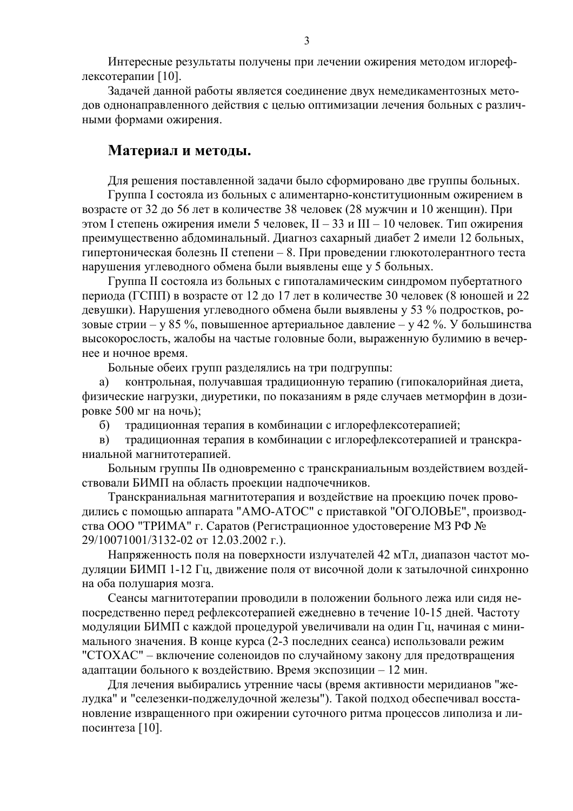Интересные результаты получены при лечении ожирения методом иглорефлексотерапии [10].

Задачей данной работы является соединение двух немедикаментозных методов однонаправленного действия с целью оптимизации лечения больных с различными формами ожирения.

#### Материал и методы.

Для решения поставленной задачи было сформировано две группы больных.

Группа I состояла из больных с алиментарно-конституционным ожирением в возрасте от 32 до 56 лет в количестве 38 человек (28 мужчин и 10 женщин). При этом I степень ожирения имели 5 человек, II – 33 и III – 10 человек. Тип ожирения преимущественно абдоминальный. Диагноз сахарный диабет 2 имели 12 больных, гипертоническая болезнь II степени - 8. При проведении глюкотолерантного теста нарушения углеводного обмена были выявлены еще у 5 больных.

Группа II состояла из больных с гипоталамическим синдромом пубертатного периода (ГСПП) в возрасте от 12 до 17 лет в количестве 30 человек (8 юношей и 22 девушки). Нарушения углеводного обмена были выявлены у 53 % подростков, розовые стрии – у 85 %, повышенное артериальное давление – у 42 %. У большинства высокорослость, жалобы на частые головные боли, выраженную булимию в вечернее и ночное время.

Больные обеих групп разделялись на три подгруппы:

контрольная, получавшая традиционную терапию (гипокалорийная диета, a) физические нагрузки, диуретики, по показаниям в ряде случаев метморфин в дозировке 500 мг на ночь);

традиционная терапия в комбинации с иглорефлексотерапией;  $\sigma$ )

традиционная терапия в комбинации с иглорефлексотерапией и транскра- $B)$ ниальной магнитотерапией.

Больным группы IIв одновременно с транскраниальным воздействием воздействовали БИМП на область проекции надпочечников.

Транскраниальная магнитотерапия и воздействие на проекцию почек проводились с помощью аппарата "АМО-АТОС" с приставкой "ОГОЛОВЬЕ", производства ООО "ТРИМА" г. Саратов (Регистрационное удостоверение МЗ РФ № 29/10071001/3132-02 от 12.03.2002 г.).

Напряженность поля на поверхности излучателей 42 мТл, диапазон частот модуляции БИМП 1-12 Гц, движение поля от височной доли к затылочной синхронно на оба полушария мозга.

Сеансы магнитотерапии проводили в положении больного лежа или сидя непосредственно перед рефлексотерапией ежедневно в течение 10-15 дней. Частоту модуляции БИМП с каждой процедурой увеличивали на один Гц, начиная с минимального значения. В конце курса (2-3 последних сеанса) использовали режим "СТОХАС" - включение соленоидов по случайному закону для предотвращения адаптации больного к воздействию. Время экспозиции - 12 мин.

Для лечения выбирались утренние часы (время активности меридианов "желудка" и "селезенки-поджелудочной железы"). Такой подход обеспечивал восстановление извращенного при ожирении суточного ритма процессов липолиза и липосинтеза [10].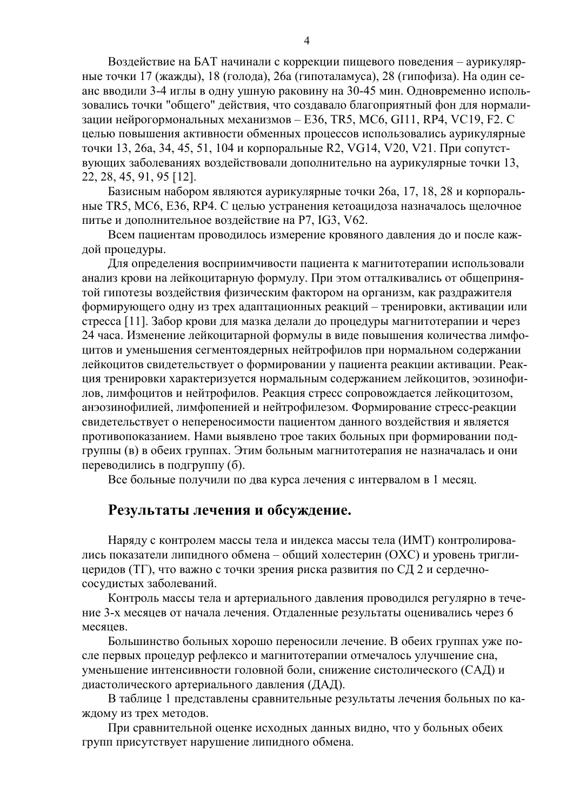Воздействие на БАТ начинали с коррекции пищевого поведения - аурикулярные точки 17 (жажды), 18 (голода), 26а (гипоталамуса), 28 (гипофиза). На один сеанс вводили 3-4 иглы в одну ушную раковину на 30-45 мин. Одновременно использовались точки "общего" действия, что создавало благоприятный фон для нормализации нейрогормональных механизмов – E36, TR5, MC6, GI11, RP4, VC19, F2. C целью повышения активности обменных процессов использовались аурикулярные точки 13, 26a, 34, 45, 51, 104 и корпоральные R2, VG14, V20, V21. При сопутствующих заболеваниях воздействовали дополнительно на аурикулярные точки 13, 22, 28, 45, 91, 95 [12].

Базисным набором являются аурикулярные точки 26а, 17, 18, 28 и корпоральные TR5, MC6, E36, RP4. С целью устранения кетоацидоза назначалось щелочное питье и дополнительное воздействие на P7, IG3, V62.

Всем пациентам проводилось измерение кровяного давления до и после кажлой процедуры.

Для определения восприимчивости пациента к магнитотерапии использовали анализ крови на лейкоцитарную формулу. При этом отталкивались от общепринятой гипотезы воздействия физическим фактором на организм, как раздражителя формирующего одну из трех адаптационных реакций – тренировки, активации или стресса [11]. Забор крови для мазка делали до процедуры магнитотерапии и через 24 часа. Изменение лейкоцитарной формулы в виде повышения количества лимфоцитов и уменьшения сегментоядерных нейтрофилов при нормальном содержании лейкоцитов свидетельствует о формировании у пациента реакции активации. Реакция тренировки характеризуется нормальным содержанием лейкоцитов, эозинофилов, лимфоцитов и нейтрофилов. Реакция стресс сопровождается лейкоцитозом, анэозинофилией, лимфопенией и нейтрофилезом. Формирование стресс-реакции свидетельствует о непереносимости пациентом данного воздействия и является противопоказанием. Нами выявлено трое таких больных при формировании подгруппы (в) в обеих группах. Этим больным магнитотерапия не назначалась и они переводились в подгруппу (б).

Все больные получили по два курса лечения с интервалом в 1 месяц.

#### Результаты лечения и обсуждение.

Наряду с контролем массы тела и индекса массы тела (ИМТ) контролировались показатели липидного обмена – общий холестерин (ОХС) и уровень триглицеридов (TГ), что важно с точки зрения риска развития по СД 2 и сердечнососудистых заболеваний.

Контроль массы тела и артериального давления проводился регулярно в течение 3-х месяцев от начала лечения. Отдаленные результаты оценивались через 6 месяцев.

Большинство больных хорошо переносили лечение. В обеих группах уже после первых процедур рефлексо и магнитотерапии отмечалось улучшение сна, уменьшение интенсивности головной боли, снижение систолического (САД) и диастолического артериального давления (ДАД).

В таблице 1 представлены сравнительные результаты лечения больных по каждому из трех методов.

При сравнительной оценке исходных данных видно, что у больных обеих групп присутствует нарушение липидного обмена.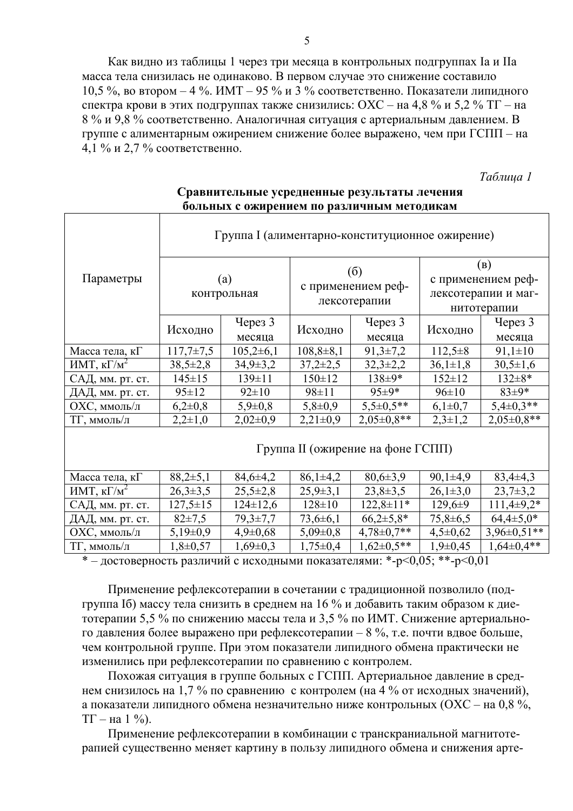Как видно из таблицы 1 через три месяца в контрольных подгруппах Ia и IIa масса тела снизилась не одинаково. В первом случае это снижение составило 10,5 %, во втором – 4 %. ИМТ – 95 % и 3 % соответственно. Показатели липидного спектра крови в этих подгруппах также снизились: ОХС – на 4,8 % и 5,2 % ТГ – на 8 % и 9,8 % соответственно. Аналогичная ситуация с артериальным давлением. В группе с алиментарным ожирением снижение более выражено, чем при ГСПП - на 4,1 % и 2,7 % соответственно.

Tаблица 1

|                                | Группа I (алиментарно-конституционное ожирение) |                |                                           |                    |                     |                  |
|--------------------------------|-------------------------------------------------|----------------|-------------------------------------------|--------------------|---------------------|------------------|
| Параметры                      | (a)<br>контрольная                              |                | (6)<br>с применением реф-<br>лексотерапии |                    | (B)                 |                  |
|                                |                                                 |                |                                           |                    | с применением реф-  |                  |
|                                |                                                 |                |                                           |                    | лексотерапии и маг- |                  |
|                                |                                                 |                |                                           |                    | нитотерапии         |                  |
|                                | Исходно                                         | Через 3        | Исходно                                   | Yepes <sub>3</sub> | Исходно             | Через 3          |
|                                |                                                 | месяца         |                                           | месяца             |                     | месяца           |
| Масса тела, кГ                 | $117,7 \pm 7,5$                                 | $105,2\pm 6,1$ | $108,8+8,1$                               | $91,3\pm7,2$       | $112,5+8$           | $91,1 \pm 10$    |
| ИМТ, к $\Gamma/\overline{M}^2$ | $38,5 \pm 2,8$                                  | $34,9 \pm 3,2$ | $37,2 \pm 2,5$                            | $32,3 \pm 2,2$     | $36,1 \pm 1,8$      | $30,5 \pm 1,6$   |
| САД, мм. рт. ст.               | $145 \pm 15$                                    | 139±11         | $150 \pm 12$                              | 138±9*             | $152 \pm 12$        | 132±8*           |
| ДАД, мм. рт. ст.               | $95 \pm 12$                                     | $92 \pm 10$    | 98±11                                     | 95±9*              | $96 \pm 10$         | 83±9*            |
| ОХС, ммоль/л                   | $6,2\pm0,8$                                     | $5,9 \pm 0,8$  | $5,8 \pm 0.9$                             | $5,5\pm0.5**$      | $6,1\pm0,7$         | $5,4\pm0,3**$    |
| ТГ, ммоль/л                    | $2,2\pm 1,0$                                    | $2,02\pm0,9$   | $2,21\pm0,9$                              | $2,05\pm0,8**$     | $2,3\pm 1,2$        | $2,05 \pm 0.8**$ |
|                                | Группа II (ожирение на фоне ГСПП)               |                |                                           |                    |                     |                  |
| Масса тела, кГ                 | $88,2{\pm}5,1$                                  | $84,6 \pm 4,2$ | $86,1\pm4,2$                              | $80,6 \pm 3,9$     | $90,1\pm4,9$        | $83,4\pm4,3$     |
| ИМТ, к $\Gamma/M^2$            | $26,3\pm3,5$                                    | $25,5 \pm 2,8$ | $25,9 \pm 3,1$                            | $23,8+3,5$         | $26,1\pm3,0$        | $23,7+3,2$       |
| САД, мм. рт. ст.               | $127,5 \pm 15$                                  | $124 \pm 12,6$ | $128 \pm 10$                              | $122,8 \pm 11*$    | $129,6 \pm 9$       | $111,4\pm9,2*$   |
| ДАД, мм. рт. ст.               | $82 \pm 7.5$                                    | $79,3 \pm 7,7$ | $73,6 \pm 6,1$                            | $66,2{\pm}5,8*$    | $75,8 \pm 6,5$      | $64,4\pm5,0*$    |
| ОХС, ммоль/л                   | $5,19\pm0,9$                                    | $4,9 \pm 0,68$ | $5,09 \pm 0,8$                            | $4,78 \pm 0.7$ **  | $4,5\pm0,62$        | $3,96\pm0,51**$  |
| ТГ, ммоль/л                    | $1,8 \pm 0,57$                                  | $1,69\pm0,3$   | $1,75 \pm 0,4$                            | $1,62\pm0.5**$     | $1,9\pm0,45$        | $1,64\pm0,4**$   |

#### **Сравнительные усредненные результаты лечения больных с ожирением по различным методикам**

\* – достоверность различий с исходными показателями: \*-p<0,05; \*\*-p<0,01

Применение рефлексотерапии в сочетании с традиционной позволило (подгруппа Iб) массу тела снизить в среднем на 16 % и добавить таким образом к диетотерапии 5,5 % по снижению массы тела и 3,5 % по ИМТ. Снижение артериального давления более выражено при рефлексотерапии – 8 %, т.е. почти вдвое больше, чем контрольной группе. При этом показатели липидного обмена практически не изменились при рефлексотерапии по сравнению с контролем.

Похожая ситуация в группе больных с ГСПП. Артериальное давление в среднем снизилось на 1,7 % по сравнению с контролем (на 4 % от исходных значений), а показатели липидного обмена незначительно ниже контрольных (ОХС – на 0,8 %,  $TT$  – на 1 %).

Применение рефлексотерапии в комбинации с транскраниальной магнитотерапией существенно меняет картину в пользу липидного обмена и снижения арте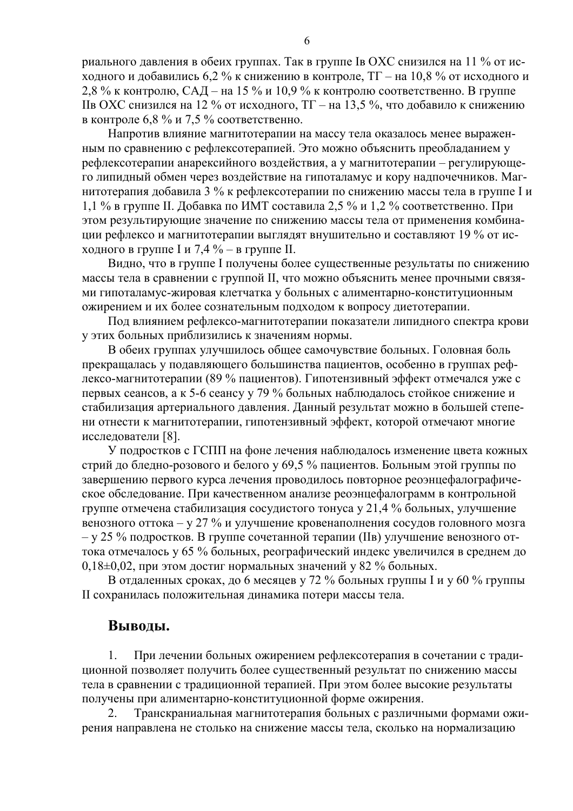риального давления в обеих группах. Так в группе Iв ОХС снизился на 11 % от исходного и добавились 6,2 % к снижению в контроле,  $TT$  – на 10,8 % от исходного и 2,8 % к контролю, САД – на 15 % и 10,9 % к контролю соответственно. В группе Пв ОХС снизился на 12 % от исходного,  $TT -$ на 13.5 %, что добавило к снижению в контроле 6,8 % и 7,5 % соответственно.

Напротив влияние магнитотерапии на массу тела оказалось менее выраженным по сравнению с рефлексотерапией. Это можно объяснить преобладанием у рефлексотерапии анарексийного воздействия, а у магнитотерапии - регулирующего липидный обмен через воздействие на гипоталамус и кору надпочечников. Магнитотерапия добавила 3 % к рефлексотерапии по снижению массы тела в группе I и 1,1 % в группе II. Добавка по ИМТ составила 2,5 % и 1,2 % соответственно. При этом результирующие значение по снижению массы тела от применения комбинации рефлексо и магнитотерапии выглядят внушительно и составляют 19 % от исходного в группе I и 7,4 % – в группе II.

Видно, что в группе I получены более существенные результаты по снижению массы тела в сравнении с группой II, что можно объяснить менее прочными связями гипоталамус-жировая клетчатка у больных с алиментарно-конституционным ожирением и их более сознательным подходом к вопросу диетотерапии.

Под влиянием рефлексо-магнитотерапии показатели липидного спектра крови у этих больных приблизились к значениям нормы.

В обеих группах улучшилось общее самочувствие больных. Головная боль прекращалась у подавляющего большинства пациентов, особенно в группах рефлексо-магнитотерапии (89 % пациентов). Гипотензивный эффект отмечался уже с первых сеансов, а к 5-6 сеансу у 79 % больных наблюдалось стойкое снижение и стабилизация артериального давления. Данный результат можно в большей степени отнести к магнитотерапии, гипотензивный эффект, которой отмечают многие исследователи [8].

У подростков с ГСПП на фоне лечения наблюдалось изменение цвета кожных стрий до бледно-розового и белого у 69,5 % пациентов. Больным этой группы по завершению первого курса лечения проводилось повторное реоэнцефалографическое обследование. При качественном анализе реоэнцефалограмм в контрольной группе отмечена стабилизация сосудистого тонуса у 21,4 % больных, улучшение венозного оттока – у 27 % и улучшение кровенаполнения сосудов головного мозга  $-$  v 25 % подростков. В группе сочетанной терапии (IIв) улучшение венозного оттока отмечалось у 65 % больных, реографический индекс увеличился в среднем до  $0.18\pm0.02$ , при этом достиг нормальных значений у 82 % больных.

В отдаленных сроках, до 6 месяцев у 72 % больных группы I и у 60 % группы II сохранилась положительная динамика потери массы тела.

#### Выводы.

 $1<sup>1</sup>$ При лечении больных ожирением рефлексотерапия в сочетании с традиционной позволяет получить более существенный результат по снижению массы тела в сравнении с традиционной терапией. При этом более высокие результаты получены при алиментарно-конституционной форме ожирения.

Транскраниальная магнитотерапия больных с различными формами ожи- $\overline{2}$ . рения направлена не столько на снижение массы тела, сколько на нормализацию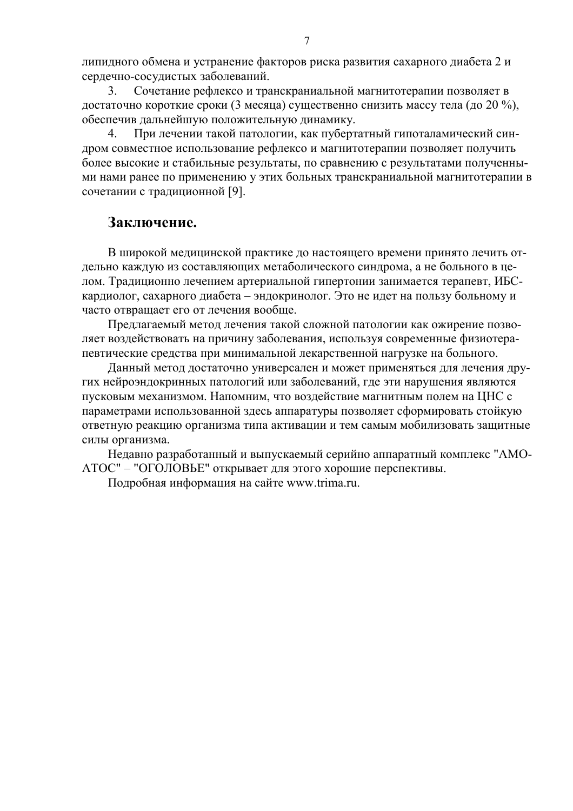липидного обмена и устранение факторов риска развития сахарного диабета 2 и сердечно-сосудистых заболеваний.

 $3<sub>1</sub>$ Сочетание рефлексо и транскраниальной магнитотерапии позволяет в достаточно короткие сроки (3 месяца) существенно снизить массу тела (до 20 %), обеспечив дальнейшую положительную динамику.

 $\overline{4}$ . При лечении такой патологии, как пубертатный гипоталамический синдром совместное использование рефлексо и магнитотерапии позволяет получить более высокие и стабильные результаты, по сравнению с результатами полученными нами ранее по применению у этих больных транскраниальной магнитотерапии в сочетании с традиционной [9].

## Заключение.

В широкой медицинской практике до настоящего времени принято лечить отдельно каждую из составляющих метаболического синдрома, а не больного в целом. Традиционно лечением артериальной гипертонии занимается терапевт, ИБСкардиолог, сахарного диабета - эндокринолог. Это не идет на пользу больному и часто отвращает его от лечения вообще.

Предлагаемый метод лечения такой сложной патологии как ожирение позволяет воздействовать на причину заболевания, используя современные физиотерапевтические средства при минимальной лекарственной нагрузке на больного.

Данный метод достаточно универсален и может применяться для лечения других нейроэндокринных патологий или заболеваний, где эти нарушения являются пусковым механизмом. Напомним, что воздействие магнитным полем на ЦНС с параметрами использованной здесь аппаратуры позволяет сформировать стойкую ответную реакцию организма типа активации и тем самым мобилизовать защитные силы организма.

Недавно разработанный и выпускаемый серийно аппаратный комплекс "АМО-АТОС" - "ОГОЛОВЬЕ" открывает для этого хорошие перспективы.

Подробная информация на сайте www.trima.ru.